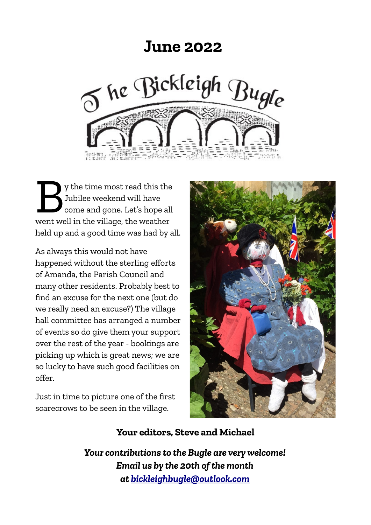## **June 2022**



y the time most read this the Jubilee weekend will have come and gone. Let's hope all y the time most read this the<br>Jubilee weekend will have<br>come and gone. Let's hope all<br>went well in the village, the weather held up and a good time was had by all.

As always this would not have happened without the sterling efforts of Amanda, the Parish Council and many other residents. Probably best to find an excuse for the next one (but do we really need an excuse?) The village hall committee has arranged a number of events so do give them your support over the rest of the year - bookings are picking up which is great news; we are so lucky to have such good facilities on offer.

Just in time to picture one of the first scarecrows to be seen in the village.



#### **Your editors, Steve and Michael**

*Your contributions to the Bugle are very welcome! Email us by the 20th of the month at [bickleighbugle@outlook.com](mailto:bickleighbugle@outlook.com)*